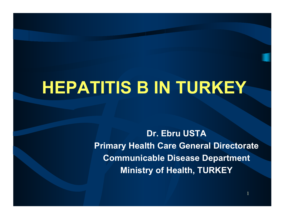## **HEPATITIS B IN TURKEY**

**Dr. Ebru USTAPrimary Health Care General Directorate Communicable Disease Department Ministry of Health, TURKEY**

1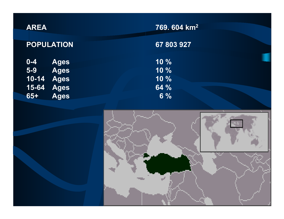| <b>AREA</b> |                   |
|-------------|-------------------|
|             | <b>POPULATION</b> |
| $0 - 4$     | <b>Ages</b>       |
| $5 - 9$     | <b>Ages</b>       |

**65+**

**67 803 927**

**Ages 10 % Ages 10 % 10-14 Ages 10 % 15-64 Ages 64 % Ages 6 %**

| $\equiv$ |  |  |
|----------|--|--|
|          |  |  |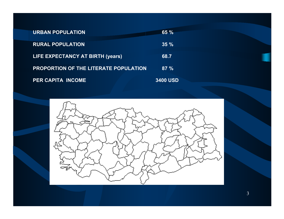| <b>URBAN POPULATION</b>                      | $65 \%$         |
|----------------------------------------------|-----------------|
| <b>RURAL POPULATION</b>                      | $35 \%$         |
| LIFE EXPECTANCY AT BIRTH (years)             | 68.7            |
| <b>PROPORTION OF THE LITERATE POPULATION</b> | $87 \%$         |
| <b>PER CAPITA INCOME</b>                     | <b>3400 USD</b> |

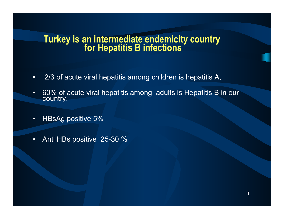## **Turkey is an intermediate endemicity country for Hepatitis B infections**

- •2/3 of acute viral hepatitis among children is hepatitis A,
- •60% of acute viral hepatitis among adults is Hepatitis B in our country.
- •HBsAg positive 5%
- •Anti HBs positive 25-30 %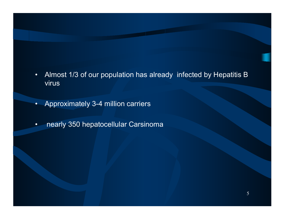- • Almost 1/3 of our population has already infected by Hepatitis B virus
- •Approximately 3-4 million carriers
- •nearly 350 hepatocellular Carsinoma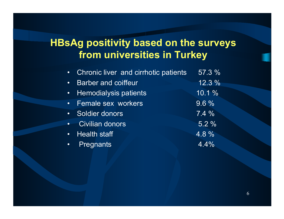### **HBsAg positivity based on the surveys from universities in Turkey**

| • Chronic liver and cirrhotic patients    | 57.3 %   |
|-------------------------------------------|----------|
| <b>Barber and coiffeur</b><br>$\bullet$ . | $12.3\%$ |
| • Hemodialysis patients                   | 10.1%    |
| • Female sex workers                      | 9.6%     |
| Soldier donors                            | $7.4\%$  |
| • Civilian donors                         | 5.2%     |
| • Health staff                            | 4.8 %    |
| • Pregnants                               | 4.4%     |
|                                           |          |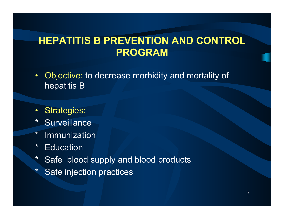#### **HEPATITIS B PREVENTION AND CONTROL PROGRAM**

- •Objective: to decrease morbidity and mortality of hepatitis B
- •Strategies:
- \*Surveillance
- \*Immunization
- \*Education
- \*Safe blood supply and blood products
- \*Safe injection practices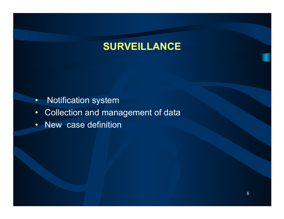#### **SURVEILLANCE**

- •Notification system
- •Collection and management of data
- •New case definition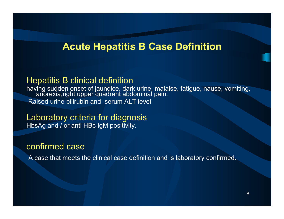#### **Acute Hepatitis B Case Definition**

#### Hepatitis B clinical definition

having sudden onset of jaundice, dark urine, malaise, fatigue, nause, vomiting,<br>\_\_\_anorexia,right upper quadrant abdominal pain. Raised urine bilirubin and serum ALT level

Laboratory criteria for diagnosis HbsAg and / or anti HBc IgM positivity.

#### confirmed case

A case that meets the clinical case definition and is laboratory confirmed.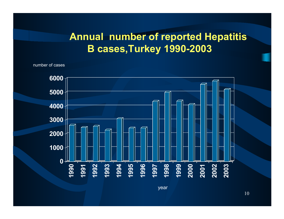#### **Annual number of reported Hepatitis B cases,Turkey 1990-2003**

number of cases



year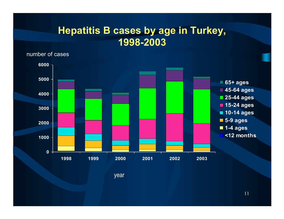#### **Hepatitis B cases by age in Turkey, 1998-2003**

number of cases



year

11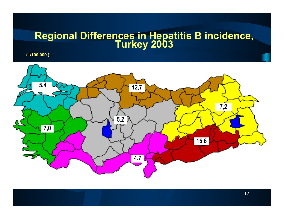# **Regional Differences in Hepatitis B incidence, Turkey 2003**

**(1/100.000 )**

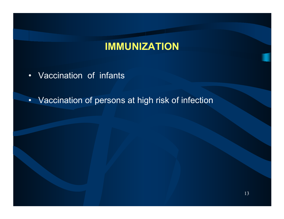#### **IMMUNIZATION**

- Vaccination of infants
- Vaccination of persons at high risk of infection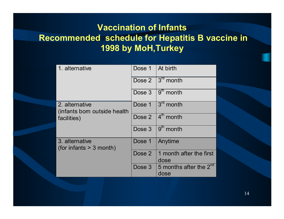#### **Vaccination of Infants Recommended schedule for Hepatitis B vaccine in 1998 by MoH,Turkey**

| 1. alternative                                                 | Dose 1   At birth |                                            |
|----------------------------------------------------------------|-------------------|--------------------------------------------|
|                                                                |                   | Dose $2 \sqrt{3^{rd}$ month                |
|                                                                |                   | Dose $3 \sqrt{9^{th} \text{ month}}$       |
| 2. alternative<br>(infants born outside health)<br>facilities) |                   | Dose 1 $3^{rd}$ month                      |
|                                                                |                   | Dose $2 \mid 4^{\text{th}}$ month          |
|                                                                |                   | Dose $3 \sqrt{9^{th}}$ month               |
| 3. alternative<br>(for infants $> 3$ month)                    | Dose 1            | Anytime                                    |
|                                                                | Dose 2            | 1 month after the first<br>dose            |
|                                                                |                   | Dose 3 5 months after the $2^{nd}$<br>dose |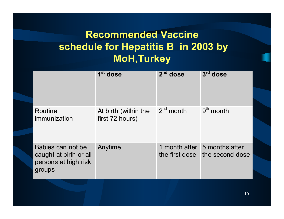## **Recommended Vaccine schedule for Hepatitis B in 2003 by MoH,Turkey**

|                                                                               | 1 <sup>st</sup> dose                    | $2nd$ dose     | $3rd$ dose                                      |
|-------------------------------------------------------------------------------|-----------------------------------------|----------------|-------------------------------------------------|
| Routine<br>immunization                                                       | At birth (within the<br>first 72 hours) | $2^{nd}$ month | $9th$ month                                     |
| Babies can not be<br>caught at birth or all<br>persons at high risk<br>groups | Anytime                                 | the first dose | 1 month after 5 months after<br>the second dose |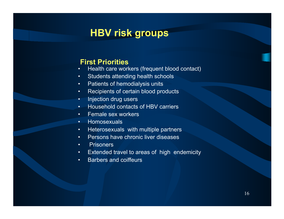### **HBV risk groups**

#### **First Priorities**

- •• Health care workers (frequent blood contact)
- •Students attending health schools
- •Patients of hemodialysis units
- •Recipients of certain blood products
- •Injection drug users
- •• Household contacts of HBV carriers
- •• Female sex workers
- •• Homosexuals
- •• Heterosexuals with multiple partners
- •• Persons have chronic liver diseases
- •**Prisoners**
- •Extended travel to areas of high endemicity
- •• Barbers and coiffeurs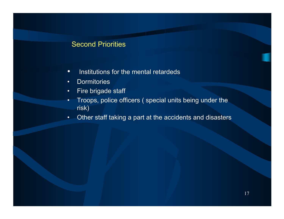#### Second Priorities

- •• Institutions for the mental retardeds
- •Dormitories
- •Fire brigade staff
- • Troops, police officers ( special units being under the risk)
- $\bullet$ Other staff taking a part at the accidents and disasters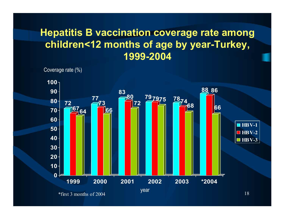#### **Hepatitis B vaccination coverage rate among children<12 months of age by year-Turkey, 1999-2004**

Coverage rate (%)

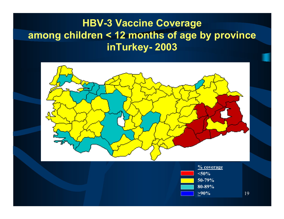#### **HBV-3 Vaccine Coverage among children < 12 months of age by province inTurkey- 2003**





19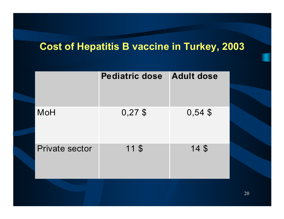#### **Cost of Hepatitis B vaccine in Turkey, 2003**

|                       | <b>Pediatric dose</b> | <b>Adult dose</b> |
|-----------------------|-----------------------|-------------------|
| <b>MoH</b>            | $0,27$ \$             | $0,54$ \$         |
| <b>Private sector</b> | 11S                   | 14S               |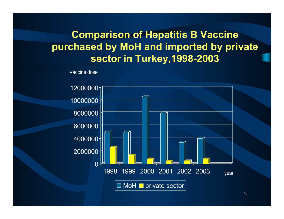## **Comparison of Hepatitis B Vaccine purchased by MoH and imported by private sector in Turkey,1998-2003**

Vaccine dose

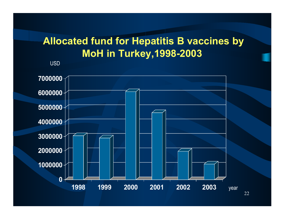## **Allocated fund for Hepatitis B vaccines by MoH in Turkey,1998-2003**

USD

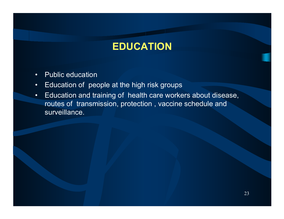#### **EDUCATION**

- •• Public education
- •Education of people at the high risk groups
- • Education and training of health care workers about disease, routes of transmission, protection , vaccine schedule and surveillance.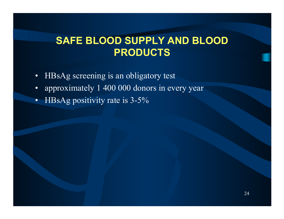## **SAFE BLOOD SUPPLY AND BLOOD PRODUCTS**

- •HBsAg screening is an obligatory test
- •approximately 1 400 000 donors in every year
- •HBsAg positivity rate is 3-5%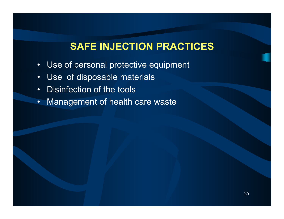#### **SAFE INJECTION PRACTICES**

- •Use of personal protective equipment
- •Use of disposable materials
- •• Disinfection of the tools
- •Management of health care waste